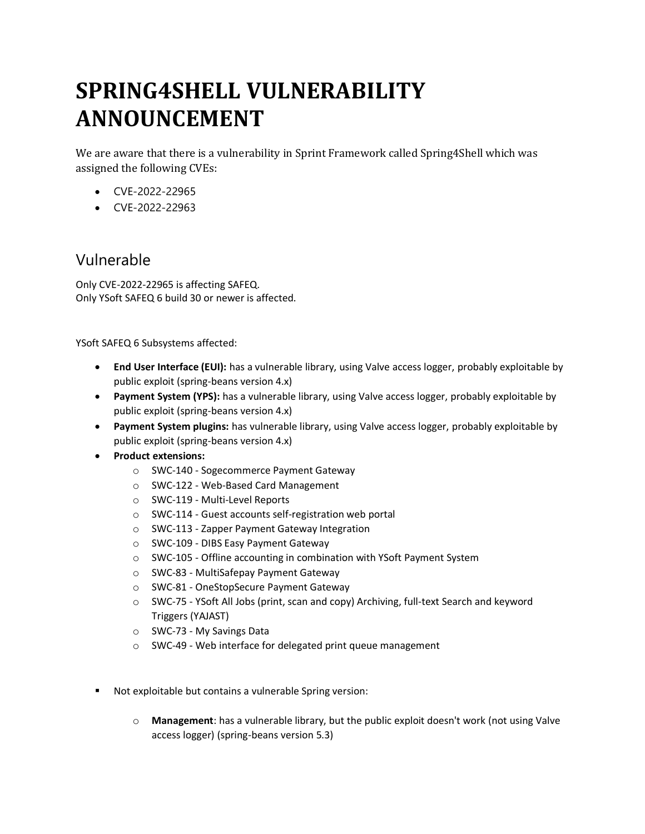# **SPRING4SHELL VULNERABILITY ANNOUNCEMENT**

We are aware that there is a vulnerability in Sprint Framework called Spring4Shell which was assigned the following CVEs:

- CVE-2022-22965
- CVE-2022-22963

## Vulnerable

Only CVE-2022-22965 is affecting SAFEQ. Only YSoft SAFEQ 6 build 30 or newer is affected.

YSoft SAFEQ 6 Subsystems affected:

- **End User Interface (EUI):** has a vulnerable library, using Valve access logger, probably exploitable by public exploit (spring-beans version 4.x)
- **Payment System (YPS):** has a vulnerable library, using Valve access logger, probably exploitable by public exploit (spring-beans version 4.x)
- **Payment System plugins:** has vulnerable library, using Valve access logger, probably exploitable by public exploit (spring-beans version 4.x)
- **Product extensions:**
	- o SWC-140 Sogecommerce Payment Gateway
	- o SWC-122 Web-Based Card Management
	- o SWC-119 Multi-Level Reports
	- o SWC-114 Guest accounts self-registration web portal
	- o SWC-113 Zapper Payment Gateway Integration
	- o SWC-109 DIBS Easy Payment Gateway
	- o SWC-105 Offline accounting in combination with YSoft Payment System
	- o SWC-83 MultiSafepay Payment Gateway
	- o SWC-81 OneStopSecure Payment Gateway
	- o SWC-75 YSoft All Jobs (print, scan and copy) Archiving, full-text Search and keyword Triggers (YAJAST)
	- o SWC-73 My Savings Data
	- o SWC-49 Web interface for delegated print queue management
- Not exploitable but contains a vulnerable Spring version:
	- o **Management**: has a vulnerable library, but the public exploit doesn't work (not using Valve access logger) (spring-beans version 5.3)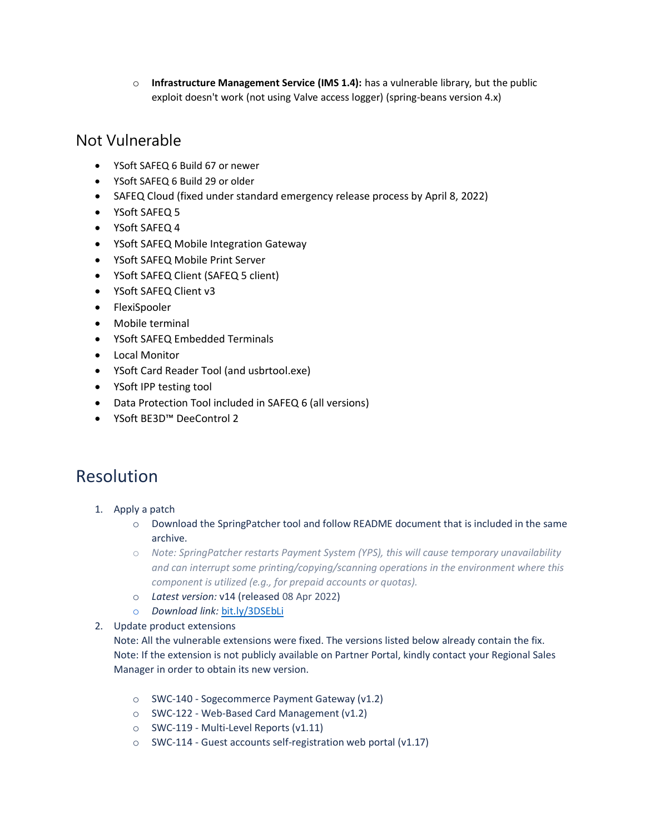o **Infrastructure Management Service (IMS 1.4):** has a vulnerable library, but the public exploit doesn't work (not using Valve access logger) (spring-beans version 4.x)

### Not Vulnerable

- YSoft SAFEQ 6 Build 67 or newer
- YSoft SAFEQ 6 Build 29 or older
- SAFEQ Cloud (fixed under standard emergency release process by April 8, 2022)
- YSoft SAFEQ 5
- YSoft SAFEQ 4
- YSoft SAFEQ Mobile Integration Gateway
- YSoft SAFEQ Mobile Print Server
- YSoft SAFEQ Client (SAFEQ 5 client)
- YSoft SAFEQ Client v3
- FlexiSpooler
- Mobile terminal
- YSoft SAFEQ Embedded Terminals
- Local Monitor
- YSoft Card Reader Tool (and usbrtool.exe)
- YSoft IPP testing tool
- Data Protection Tool included in SAFEQ 6 (all versions)
- YSoft BE3D™ DeeControl 2

# Resolution

- 1. Apply a patch
	- o Download the SpringPatcher tool and follow README document that is included in the same archive.
	- o *Note: SpringPatcher restarts Payment System (YPS), this will cause temporary unavailability and can interrupt some printing/copying/scanning operations in the environment where this component is utilized (e.g., for prepaid accounts or quotas).*
	- o *Latest version:* v14 (released 08 Apr 2022)
	- o *Download link:* [bit.ly/3DSEbLi](https://bit.ly/3DSEbLi)
- 2. Update product extensions
	- Note: All the vulnerable extensions were fixed. The versions listed below already contain the fix. Note: If the extension is not publicly available on Partner Portal, kindly contact your Regional Sales Manager in order to obtain its new version.
		- o SWC-140 Sogecommerce Payment Gateway (v1.2)
		- o SWC-122 Web-Based Card Management (v1.2)
		- o SWC-119 Multi-Level Reports (v1.11)
		- o SWC-114 Guest accounts self-registration web portal (v1.17)